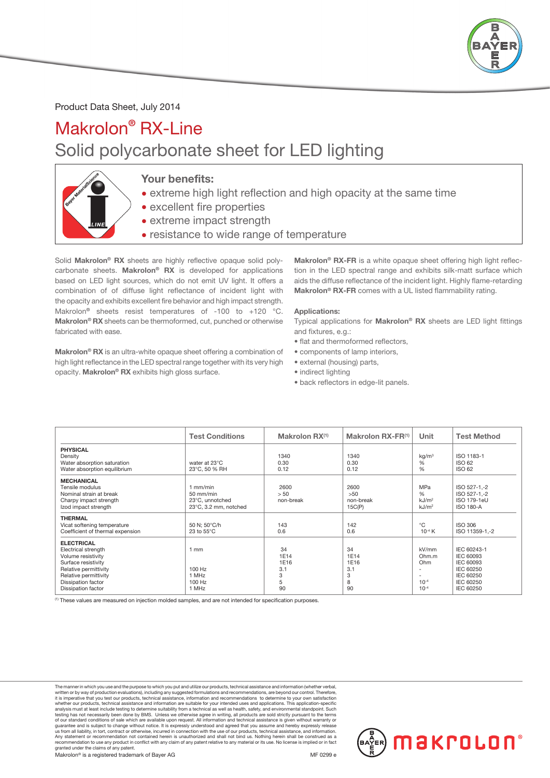

## Product Data Sheet, July 2014

## Makrolon® RX-Line Solid polycarbonate sheet for LED lighting



## Your benefits:

- extreme high light reflection and high opacity at the same time
- excellent fire properties
- extreme impact strength
- resistance to wide range of temperature

Solid Makrolon® RX sheets are highly reflective opaque solid polycarbonate sheets. Makrolon® RX is developed for applications based on LED light sources, which do not emit UV light. It offers a combination of of diffuse light reflectance of incident light with the opacity and exhibits excellent fire behavior and high impact strength. Makrolon<sup>®</sup> sheets resist temperatures of -100 to +120 °C. Makrolon® RX sheets can be thermoformed, cut, punched or otherwise fabricated with ease.

Makrolon® RX is an ultra-white opaque sheet offering a combination of high light reflectance in the LED spectral range together with its very high opacity. Makrolon® RX exhibits high gloss surface.

Makrolon<sup>®</sup> RX-FR is a white opaque sheet offering high light reflection in the LED spectral range and exhibits silk-matt surface which aids the diffuse reflectance of the incident light. Highly flame-retarding Makrolon<sup>®</sup> RX-FR comes with a UL listed flammability rating.

#### Applications:

Typical applications for Makrolon® RX sheets are LED light fittings and fixtures, e.g.:

- flat and thermoformed reflectors,
- components of lamp interiors,
- external (housing) parts,
- indirect lighting
- back reflectors in edge-lit panels.

|                                                                                                                                                                                            | <b>Test Conditions</b>                                              | Makrolon $\mathsf{RX}^{(1)}$              | Makrolon RX-FR(1)                         | Unit                                                         | <b>Test Method</b>                                                                                      |
|--------------------------------------------------------------------------------------------------------------------------------------------------------------------------------------------|---------------------------------------------------------------------|-------------------------------------------|-------------------------------------------|--------------------------------------------------------------|---------------------------------------------------------------------------------------------------------|
| <b>PHYSICAL</b><br>Density<br>Water absorption saturation<br>Water absorption equilibrium                                                                                                  | water at 23°C<br>23°C, 50 % RH                                      | 1340<br>0.30<br>0.12                      | 1340<br>0.30<br>0.12                      | kg/m <sup>3</sup><br>%<br>%                                  | ISO 1183-1<br>ISO 62<br>ISO 62                                                                          |
| <b>MECHANICAL</b><br>Tensile modulus<br>Nominal strain at break<br>Charpy impact strength<br>Izod impact strength                                                                          | $1$ mm/min<br>50 mm/min<br>23°C, unnotched<br>23°C, 3.2 mm, notched | 2600<br>> 50<br>non-break                 | 2600<br>>50<br>non-break<br>15C(P)        | <b>MPa</b><br>$\%$<br>kJ/m <sup>2</sup><br>kJ/m <sup>2</sup> | ISO 527-1,-2<br>ISO 527-1,-2<br><b>ISO 179-1eU</b><br><b>ISO 180-A</b>                                  |
| <b>THERMAL</b><br>Vicat softening temperature<br>Coefficient of thermal expension                                                                                                          | 50 N; 50°C/h<br>23 to $55^{\circ}$ C                                | 143<br>0.6                                | 142<br>0.6                                | $^{\circ}$ C<br>$10^{-4} K$                                  | <b>ISO 306</b><br>ISO 11359-1,-2                                                                        |
| <b>ELECTRICAL</b><br>Electrical strength<br>Volume resistivity<br>Surface resistivity<br>Relative permittivity<br>Relative permittivity<br><b>Dissipation factor</b><br>Dissipation factor | $1 \text{ mm}$<br>100 Hz<br>1 MHz<br>100 Hz<br>1 MHz                | 34<br>1E14<br>1E16<br>3.1<br>3<br>5<br>90 | 34<br>1E14<br>1E16<br>3.1<br>3<br>8<br>90 | kV/mm<br>Ohm.m<br>Ohm<br>$10^{-4}$<br>$10^{-4}$              | IEC 60243-1<br>IEC 60093<br><b>IEC 60093</b><br>IEC 60250<br>IEC 60250<br>IEC 60250<br><b>IEC 60250</b> |

(1) These values are measured on injection molded samples, and are not intended for specification purposes.

The manner in which you use and the purpose to which you put and utilize our products, technical assistance and information (whether verbal,<br>written or by way of production evaluations), including any suggested formulation analysis must at least include testing to determine suitability from a technical as well as health, safety, and environmental standpoint. Such testing has not necessarily been done by BMS. Unless we otherwise agree in writ granted under the claims of any patent.

Makrolon<sup>®</sup> is a registered trademark of Bayer AG ME 0299 e